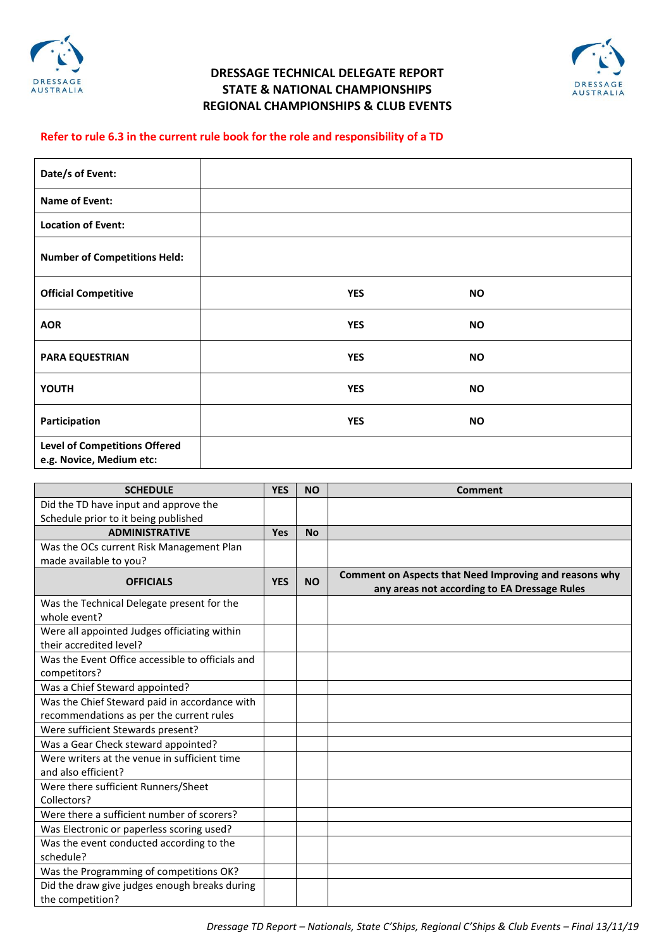

## **DRESSAGE TECHNICAL DELEGATE REPORT STATE & NATIONAL CHAMPIONSHIPS REGIONAL CHAMPIONSHIPS & CLUB EVENTS**



## **Refer to rule 6.3 in the current rule book for the role and responsibility of a TD**

| Date/s of Event:                                                 |            |           |  |
|------------------------------------------------------------------|------------|-----------|--|
| Name of Event:                                                   |            |           |  |
| <b>Location of Event:</b>                                        |            |           |  |
| <b>Number of Competitions Held:</b>                              |            |           |  |
| <b>Official Competitive</b>                                      | <b>YES</b> | <b>NO</b> |  |
| <b>AOR</b>                                                       | <b>YES</b> | <b>NO</b> |  |
| <b>PARA EQUESTRIAN</b>                                           | <b>YES</b> | <b>NO</b> |  |
| YOUTH                                                            | <b>YES</b> | <b>NO</b> |  |
| Participation                                                    | <b>YES</b> | <b>NO</b> |  |
| <b>Level of Competitions Offered</b><br>e.g. Novice, Medium etc: |            |           |  |

| <b>SCHEDULE</b>                                  | <b>YES</b> | <b>NO</b> | <b>Comment</b>                                                                                         |
|--------------------------------------------------|------------|-----------|--------------------------------------------------------------------------------------------------------|
| Did the TD have input and approve the            |            |           |                                                                                                        |
| Schedule prior to it being published             |            |           |                                                                                                        |
| <b>ADMINISTRATIVE</b>                            | Yes        | <b>No</b> |                                                                                                        |
| Was the OCs current Risk Management Plan         |            |           |                                                                                                        |
| made available to you?                           |            |           |                                                                                                        |
| <b>OFFICIALS</b>                                 | <b>YES</b> | <b>NO</b> | Comment on Aspects that Need Improving and reasons why<br>any areas not according to EA Dressage Rules |
| Was the Technical Delegate present for the       |            |           |                                                                                                        |
| whole event?                                     |            |           |                                                                                                        |
| Were all appointed Judges officiating within     |            |           |                                                                                                        |
| their accredited level?                          |            |           |                                                                                                        |
| Was the Event Office accessible to officials and |            |           |                                                                                                        |
| competitors?                                     |            |           |                                                                                                        |
| Was a Chief Steward appointed?                   |            |           |                                                                                                        |
| Was the Chief Steward paid in accordance with    |            |           |                                                                                                        |
| recommendations as per the current rules         |            |           |                                                                                                        |
| Were sufficient Stewards present?                |            |           |                                                                                                        |
| Was a Gear Check steward appointed?              |            |           |                                                                                                        |
| Were writers at the venue in sufficient time     |            |           |                                                                                                        |
| and also efficient?                              |            |           |                                                                                                        |
| Were there sufficient Runners/Sheet              |            |           |                                                                                                        |
| Collectors?                                      |            |           |                                                                                                        |
| Were there a sufficient number of scorers?       |            |           |                                                                                                        |
| Was Electronic or paperless scoring used?        |            |           |                                                                                                        |
| Was the event conducted according to the         |            |           |                                                                                                        |
| schedule?                                        |            |           |                                                                                                        |
| Was the Programming of competitions OK?          |            |           |                                                                                                        |
| Did the draw give judges enough breaks during    |            |           |                                                                                                        |
| the competition?                                 |            |           |                                                                                                        |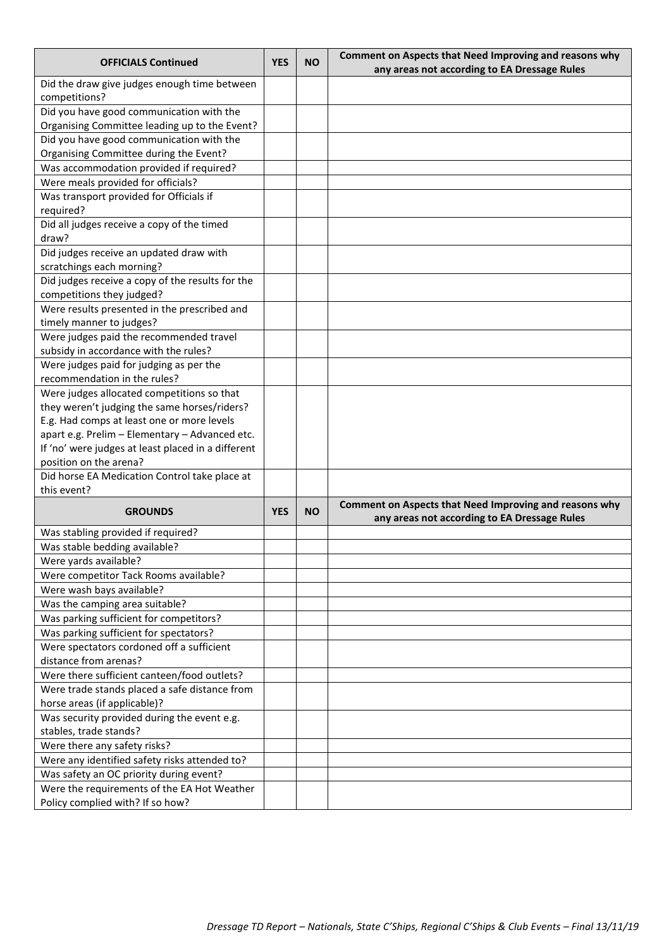| <b>OFFICIALS Continued</b>                                   |            | <b>NO</b> | Comment on Aspects that Need Improving and reasons why                                                 |  |
|--------------------------------------------------------------|------------|-----------|--------------------------------------------------------------------------------------------------------|--|
|                                                              | <b>YES</b> |           | any areas not according to EA Dressage Rules                                                           |  |
| Did the draw give judges enough time between                 |            |           |                                                                                                        |  |
| competitions?                                                |            |           |                                                                                                        |  |
| Did you have good communication with the                     |            |           |                                                                                                        |  |
| Organising Committee leading up to the Event?                |            |           |                                                                                                        |  |
| Did you have good communication with the                     |            |           |                                                                                                        |  |
| Organising Committee during the Event?                       |            |           |                                                                                                        |  |
| Was accommodation provided if required?                      |            |           |                                                                                                        |  |
| Were meals provided for officials?                           |            |           |                                                                                                        |  |
| Was transport provided for Officials if                      |            |           |                                                                                                        |  |
| required?                                                    |            |           |                                                                                                        |  |
| Did all judges receive a copy of the timed                   |            |           |                                                                                                        |  |
| draw?                                                        |            |           |                                                                                                        |  |
| Did judges receive an updated draw with                      |            |           |                                                                                                        |  |
| scratchings each morning?                                    |            |           |                                                                                                        |  |
| Did judges receive a copy of the results for the             |            |           |                                                                                                        |  |
| competitions they judged?                                    |            |           |                                                                                                        |  |
| Were results presented in the prescribed and                 |            |           |                                                                                                        |  |
| timely manner to judges?                                     |            |           |                                                                                                        |  |
| Were judges paid the recommended travel                      |            |           |                                                                                                        |  |
| subsidy in accordance with the rules?                        |            |           |                                                                                                        |  |
| Were judges paid for judging as per the                      |            |           |                                                                                                        |  |
| recommendation in the rules?                                 |            |           |                                                                                                        |  |
| Were judges allocated competitions so that                   |            |           |                                                                                                        |  |
| they weren't judging the same horses/riders?                 |            |           |                                                                                                        |  |
| E.g. Had comps at least one or more levels                   |            |           |                                                                                                        |  |
| apart e.g. Prelim - Elementary - Advanced etc.               |            |           |                                                                                                        |  |
| If 'no' were judges at least placed in a different           |            |           |                                                                                                        |  |
| position on the arena?                                       |            |           |                                                                                                        |  |
| Did horse EA Medication Control take place at<br>this event? |            |           |                                                                                                        |  |
|                                                              |            |           |                                                                                                        |  |
| <b>GROUNDS</b>                                               | <b>YES</b> | ΝO        | Comment on Aspects that Need Improving and reasons why<br>any areas not according to EA Dressage Rules |  |
| Was stabling provided if required?                           |            |           |                                                                                                        |  |
| Was stable bedding available?                                |            |           |                                                                                                        |  |
| Were yards available?                                        |            |           |                                                                                                        |  |
| Were competitor Tack Rooms available?                        |            |           |                                                                                                        |  |
| Were wash bays available?                                    |            |           |                                                                                                        |  |
| Was the camping area suitable?                               |            |           |                                                                                                        |  |
| Was parking sufficient for competitors?                      |            |           |                                                                                                        |  |
| Was parking sufficient for spectators?                       |            |           |                                                                                                        |  |
| Were spectators cordoned off a sufficient                    |            |           |                                                                                                        |  |
| distance from arenas?                                        |            |           |                                                                                                        |  |
| Were there sufficient canteen/food outlets?                  |            |           |                                                                                                        |  |
| Were trade stands placed a safe distance from                |            |           |                                                                                                        |  |
| horse areas (if applicable)?                                 |            |           |                                                                                                        |  |
| Was security provided during the event e.g.                  |            |           |                                                                                                        |  |
| stables, trade stands?                                       |            |           |                                                                                                        |  |
| Were there any safety risks?                                 |            |           |                                                                                                        |  |
| Were any identified safety risks attended to?                |            |           |                                                                                                        |  |
| Was safety an OC priority during event?                      |            |           |                                                                                                        |  |
| Were the requirements of the EA Hot Weather                  |            |           |                                                                                                        |  |
| Policy complied with? If so how?                             |            |           |                                                                                                        |  |